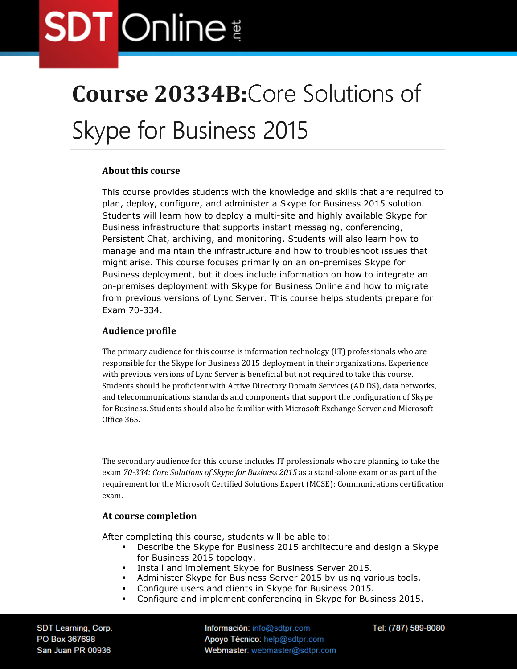### **Course 20334B:**Core Solutions of

### Skype for Business 2015

#### **About this course**

This course provides students with the knowledge and skills that are required to plan, deploy, configure, and administer a Skype for Business 2015 solution. Students will learn how to deploy a multi-site and highly available Skype for Business infrastructure that supports instant messaging, conferencing, Persistent Chat, archiving, and monitoring. Students will also learn how to manage and maintain the infrastructure and how to troubleshoot issues that might arise. This course focuses primarily on an on-premises Skype for Business deployment, but it does include information on how to integrate an on-premises deployment with Skype for Business Online and how to migrate from previous versions of Lync Server. This course helps students prepare for Exam 70-334.

#### **Audience profile**

The primary audience for this course is information technology (IT) professionals who are responsible for the Skype for Business 2015 deployment in their organizations. Experience with previous versions of Lync Server is beneficial but not required to take this course. Students should be proficient with Active Directory Domain Services (AD DS), data networks, and telecommunications standards and components that support the configuration of Skype for Business. Students should also be familiar with Microsoft Exchange Server and Microsoft Office 365.

The secondary audience for this course includes IT professionals who are planning to take the exam *70-334: Core Solutions of Skype for Business 2015* as a stand-alone exam or as part of the requirement for the Microsoft Certified Solutions Expert (MCSE): Communications certification exam.

#### **At course completion**

After completing this course, students will be able to:

- **-** Describe the Skype for Business 2015 architecture and design a Skype for Business 2015 topology.
- Install and implement Skype for Business Server 2015.
- Administer Skype for Business Server 2015 by using various tools.
- Configure users and clients in Skype for Business 2015.
- Configure and implement conferencing in Skype for Business 2015.

SDT Learning, Corp. PO Box 367698 San Juan PR 00936

Información: info@sdtpr.com Apoyo Técnico: help@sdtpr.com Webmaster: webmaster@sdtpr.com Tel: (787) 589-8080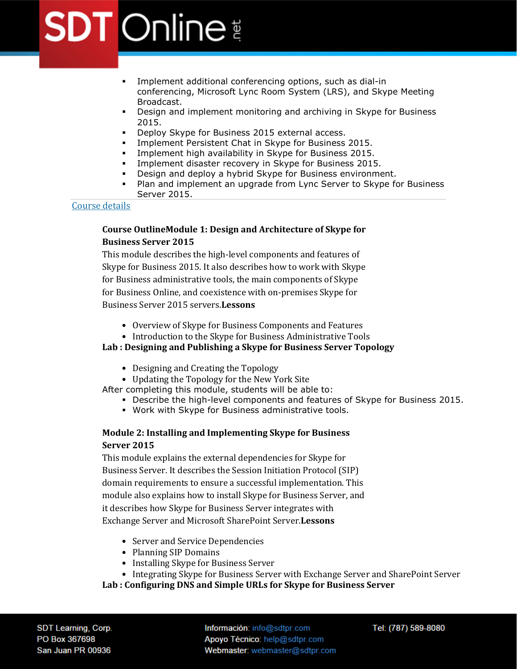- Implement additional conferencing options, such as dial-in conferencing, Microsoft Lync Room System (LRS), and Skype Meeting Broadcast.
- Design and implement monitoring and archiving in Skype for Business 2015.
- **Deploy Skype for Business 2015 external access.**
- **Implement Persistent Chat in Skype for Business 2015.**
- **Implement high availability in Skype for Business 2015.**
- **Implement disaster recovery in Skype for Business 2015.**
- **Design and deploy a hybrid Skype for Business environment.**
- Plan and implement an upgrade from Lync Server to Skype for Business Server 2015.

#### Course details

#### **Course OutlineModule 1: Design and Architecture of Skype for Business Server 2015**

This module describes the high-level components and features of Skype for Business 2015. It also describes how to work with Skype for Business administrative tools, the main components of Skype for Business Online, and coexistence with on-premises Skype for Business Server 2015 servers.**Lessons**

- Overview of Skype for Business Components and Features
- Introduction to the Skype for Business Administrative Tools

#### **Lab : Designing and Publishing a Skype for Business Server Topology**

- Designing and Creating the Topology
- Updating the Topology for the New York Site

After completing this module, students will be able to:

- Describe the high-level components and features of Skype for Business 2015.
- Work with Skype for Business administrative tools.

#### **Module 2: Installing and Implementing Skype for Business Server 2015**

This module explains the external dependencies for Skype for Business Server. It describes the Session Initiation Protocol (SIP) domain requirements to ensure a successful implementation. This module also explains how to install Skype for Business Server, and it describes how Skype for Business Server integrates with Exchange Server and Microsoft SharePoint Server.**Lessons**

- Server and Service Dependencies
- Planning SIP Domains
- Installing Skype for Business Server
- Integrating Skype for Business Server with Exchange Server and SharePoint Server

**Lab : Configuring DNS and Simple URLs for Skype for Business Server**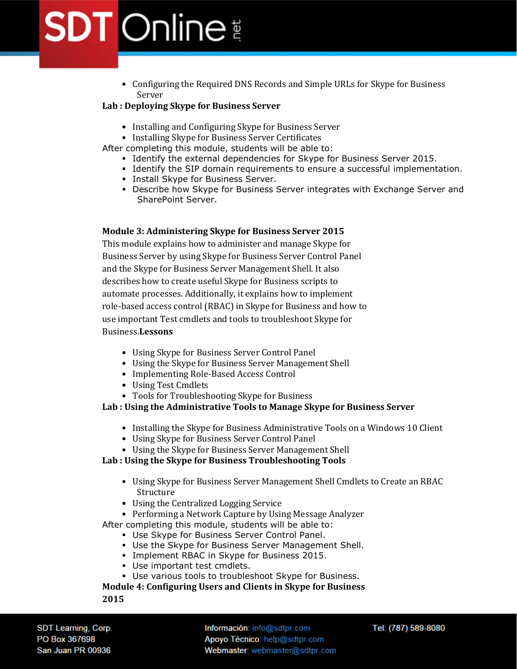• Configuring the Required DNS Records and Simple URLs for Skype for Business Server

#### **Lab : Deploying Skype for Business Server**

- Installing and Configuring Skype for Business Server
- Installing Skype for Business Server Certificates

After completing this module, students will be able to:

- Identify the external dependencies for Skype for Business Server 2015.
- Identify the SIP domain requirements to ensure a successful implementation.
- **Install Skype for Business Server.**
- Describe how Skype for Business Server integrates with Exchange Server and SharePoint Server.

#### **Module 3: Administering Skype for Business Server 2015**

This module explains how to administer and manage Skype for Business Server by using Skype for Business Server Control Panel and the Skype for Business Server Management Shell. It also describes how to create useful Skype for Business scripts to automate processes. Additionally, it explains how to implement role-based access control (RBAC) in Skype for Business and how to use important Test cmdlets and tools to troubleshoot Skype for Business.**Lessons**

- Using Skype for Business Server Control Panel
- Using the Skype for Business Server Management Shell
- Implementing Role-Based Access Control
- Using Test Cmdlets
- Tools for Troubleshooting Skype for Business

#### **Lab : Using the Administrative Tools to Manage Skype for Business Server**

- Installing the Skype for Business Administrative Tools on a Windows 10 Client
- Using Skype for Business Server Control Panel
- Using the Skype for Business Server Management Shell

#### **Lab : Using the Skype for Business Troubleshooting Tools**

- Using Skype for Business Server Management Shell Cmdlets to Create an RBAC Structure
- Using the Centralized Logging Service
- Performing a Network Capture by Using Message Analyzer

After completing this module, students will be able to:

- Use Skype for Business Server Control Panel.
- Use the Skype for Business Server Management Shell.
- **Implement RBAC in Skype for Business 2015.**
- Use important test cmdlets.
- Use various tools to troubleshoot Skype for Business.

**Module 4: Configuring Users and Clients in Skype for Business 2015**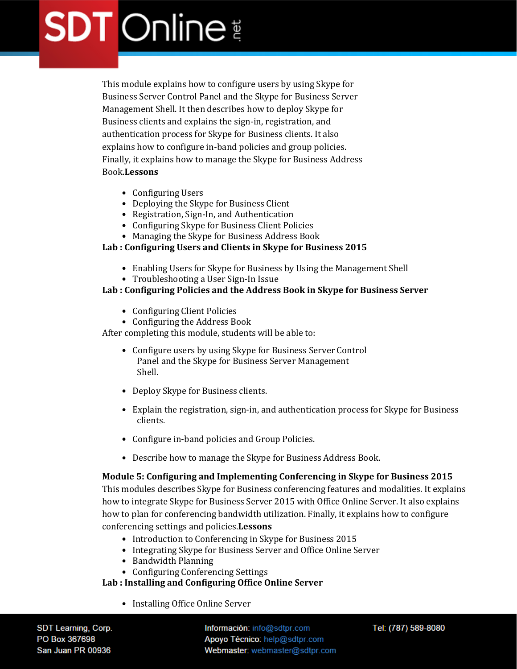This module explains how to configure users by using Skype for Business Server Control Panel and the Skype for Business Server Management Shell. It then describes how to deploy Skype for Business clients and explains the sign-in, registration, and authentication process for Skype for Business clients. It also explains how to configure in-band policies and group policies. Finally, it explains how to manage the Skype for Business Address Book.**Lessons**

- Configuring Users
- Deploying the Skype for Business Client
- Registration, Sign-In, and Authentication
- Configuring Skype for Business Client Policies
- Managing the Skype for Business Address Book

#### **Lab : Configuring Users and Clients in Skype for Business 2015**

- Enabling Users for Skype for Business by Using the Management Shell
- Troubleshooting a User Sign-In Issue

#### **Lab : Configuring Policies and the Address Book in Skype for Business Server**

- Configuring Client Policies
- Configuring the Address Book

After completing this module, students will be able to:

- Configure users by using Skype for Business Server Control Panel and the Skype for Business Server Management Shell.
- Deploy Skype for Business clients.
- Explain the registration, sign-in, and authentication process for Skype for Business clients.
- Configure in-band policies and Group Policies.
- Describe how to manage the Skype for Business Address Book.

#### **Module 5: Configuring and Implementing Conferencing in Skype for Business 2015**

This modules describes Skype for Business conferencing features and modalities. It explains how to integrate Skype for Business Server 2015 with Office Online Server. It also explains how to plan for conferencing bandwidth utilization. Finally, it explains how to configure conferencing settings and policies.**Lessons**

- Introduction to Conferencing in Skype for Business 2015
- Integrating Skype for Business Server and Office Online Server
- Bandwidth Planning
- Configuring Conferencing Settings

#### **Lab : Installing and Configuring Office Online Server**

• Installing Office Online Server

SDT Learning, Corp. PO Box 367698 San Juan PR 00936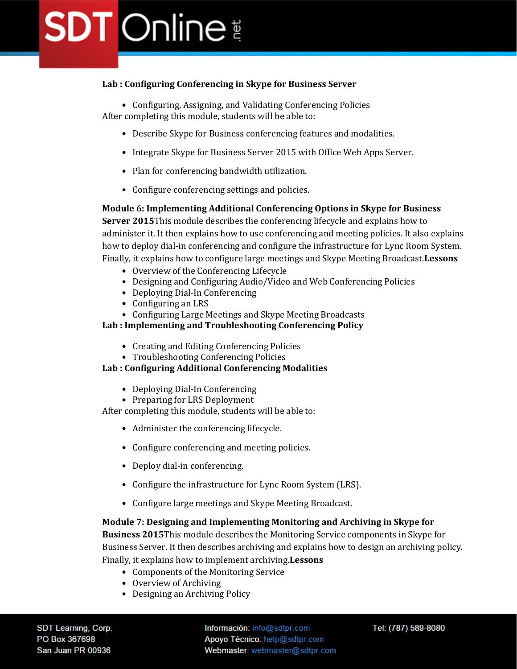#### **Lab : Configuring Conferencing in Skype for Business Server**

• Configuring, Assigning, and Validating Conferencing Policies After completing this module, students will be able to:

- Describe Skype for Business conferencing features and modalities.
- Integrate Skype for Business Server 2015 with Office Web Apps Server.
- Plan for conferencing bandwidth utilization.
- Configure conferencing settings and policies.

#### **Module 6: Implementing Additional Conferencing Options in Skype for Business**

**Server 2015**This module describes the conferencing lifecycle and explains how to administer it. It then explains how to use conferencing and meeting policies. It also explains how to deploy dial-in conferencing and configure the infrastructure for Lync Room System. Finally, it explains how to configure large meetings and Skype Meeting Broadcast.**Lessons**

- Overview of the Conferencing Lifecycle
- Designing and Configuring Audio/Video and Web Conferencing Policies
- Deploying Dial-In Conferencing
- Configuring an LRS
- Configuring Large Meetings and Skype Meeting Broadcasts

#### **Lab : Implementing and Troubleshooting Conferencing Policy**

- Creating and Editing Conferencing Policies
- Troubleshooting Conferencing Policies

#### **Lab : Configuring Additional Conferencing Modalities**

- Deploying Dial-In Conferencing
- Preparing for LRS Deployment

After completing this module, students will be able to:

- Administer the conferencing lifecycle.
- Configure conferencing and meeting policies.
- Deploy dial-in conferencing.
- Configure the infrastructure for Lync Room System (LRS).
- Configure large meetings and Skype Meeting Broadcast.

#### **Module 7: Designing and Implementing Monitoring and Archiving in Skype for**

**Business 2015**This module describes the Monitoring Service components in Skype for Business Server. It then describes archiving and explains how to design an archiving policy. Finally, it explains how to implement archiving.**Lessons**

- Components of the Monitoring Service
- Overview of Archiving
- Designing an Archiving Policy

SDT Learning, Corp. PO Box 367698 San Juan PR 00936

Información: info@sdtpr.com Apoyo Técnico: help@sdtpr.com Webmaster: webmaster@sdtpr.com Tel: (787) 589-8080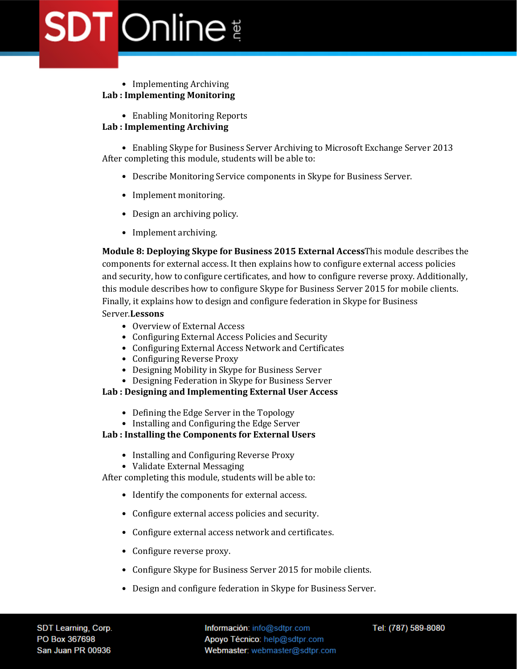#### • Implementing Archiving **Lab : Implementing Monitoring**

• Enabling Monitoring Reports

#### **Lab : Implementing Archiving**

• Enabling Skype for Business Server Archiving to Microsoft Exchange Server 2013 After completing this module, students will be able to:

- Describe Monitoring Service components in Skype for Business Server.
- Implement monitoring.
- Design an archiving policy.
- Implement archiving.

**Module 8: Deploying Skype for Business 2015 External Access**This module describes the components for external access. It then explains how to configure external access policies and security, how to configure certificates, and how to configure reverse proxy. Additionally, this module describes how to configure Skype for Business Server 2015 for mobile clients. Finally, it explains how to design and configure federation in Skype for Business Server.**Lessons**

- Overview of External Access
- Configuring External Access Policies and Security
- Configuring External Access Network and Certificates
- Configuring Reverse Proxy
- Designing Mobility in Skype for Business Server
- Designing Federation in Skype for Business Server

#### **Lab : Designing and Implementing External User Access**

- Defining the Edge Server in the Topology
- Installing and Configuring the Edge Server

#### **Lab : Installing the Components for External Users**

- Installing and Configuring Reverse Proxy
- Validate External Messaging

After completing this module, students will be able to:

- Identify the components for external access.
- Configure external access policies and security.
- Configure external access network and certificates.
- Configure reverse proxy.
- Configure Skype for Business Server 2015 for mobile clients.
- Design and configure federation in Skype for Business Server.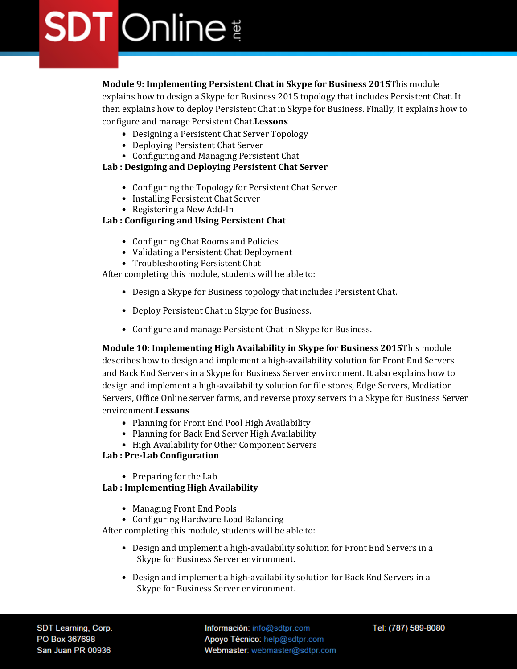**Module 9: Implementing Persistent Chat in Skype for Business 2015**This module explains how to design a Skype for Business 2015 topology that includes Persistent Chat. It then explains how to deploy Persistent Chat in Skype for Business. Finally, it explains how to configure and manage Persistent Chat.**Lessons**

- Designing a Persistent Chat Server Topology
- Deploying Persistent Chat Server
- Configuring and Managing Persistent Chat

#### **Lab : Designing and Deploying Persistent Chat Server**

- Configuring the Topology for Persistent Chat Server
- Installing Persistent Chat Server
- Registering a New Add-In

#### **Lab : Configuring and Using Persistent Chat**

- Configuring Chat Rooms and Policies
- Validating a Persistent Chat Deployment
- Troubleshooting Persistent Chat

After completing this module, students will be able to:

- Design a Skype for Business topology that includes Persistent Chat.
- Deploy Persistent Chat in Skype for Business.
- Configure and manage Persistent Chat in Skype for Business.

**Module 10: Implementing High Availability in Skype for Business 2015**This module describes how to design and implement a high-availability solution for Front End Servers and Back End Servers in a Skype for Business Server environment. It also explains how to design and implement a high-availability solution for file stores, Edge Servers, Mediation Servers, Office Online server farms, and reverse proxy servers in a Skype for Business Server environment.**Lessons**

- Planning for Front End Pool High Availability
- Planning for Back End Server High Availability
- High Availability for Other Component Servers

#### **Lab : Pre-Lab Configuration**

• Preparing for the Lab

#### **Lab : Implementing High Availability**

- Managing Front End Pools
- Configuring Hardware Load Balancing

After completing this module, students will be able to:

- Design and implement a high-availability solution for Front End Servers in a Skype for Business Server environment.
- Design and implement a high-availability solution for Back End Servers in a Skype for Business Server environment.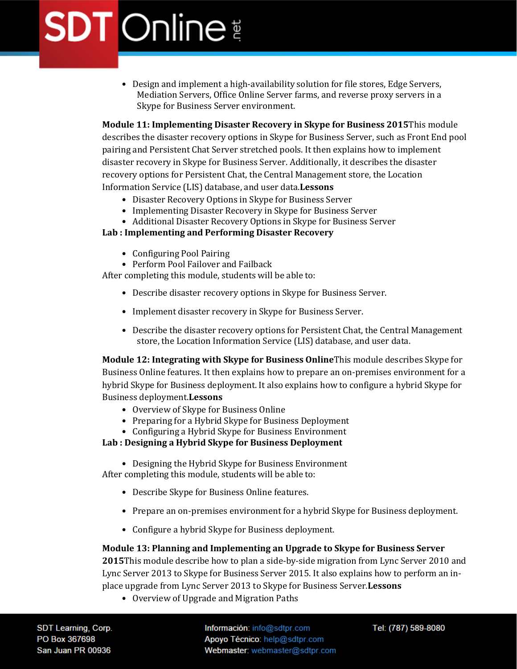• Design and implement a high-availability solution for file stores, Edge Servers, Mediation Servers, Office Online Server farms, and reverse proxy servers in a Skype for Business Server environment.

**Module 11: Implementing Disaster Recovery in Skype for Business 2015**This module describes the disaster recovery options in Skype for Business Server, such as Front End pool pairing and Persistent Chat Server stretched pools. It then explains how to implement disaster recovery in Skype for Business Server. Additionally, it describes the disaster recovery options for Persistent Chat, the Central Management store, the Location Information Service (LIS) database, and user data.**Lessons**

- Disaster Recovery Options in Skype for Business Server
- Implementing Disaster Recovery in Skype for Business Server
- Additional Disaster Recovery Options in Skype for Business Server

#### **Lab : Implementing and Performing Disaster Recovery**

- Configuring Pool Pairing
- Perform Pool Failover and Failback

After completing this module, students will be able to:

- Describe disaster recovery options in Skype for Business Server.
- Implement disaster recovery in Skype for Business Server.
- Describe the disaster recovery options for Persistent Chat, the Central Management store, the Location Information Service (LIS) database, and user data.

**Module 12: Integrating with Skype for Business Online**This module describes Skype for Business Online features. It then explains how to prepare an on-premises environment for a hybrid Skype for Business deployment. It also explains how to configure a hybrid Skype for Business deployment.**Lessons**

- Overview of Skype for Business Online
- Preparing for a Hybrid Skype for Business Deployment
- Configuring a Hybrid Skype for Business Environment

#### **Lab : Designing a Hybrid Skype for Business Deployment**

• Designing the Hybrid Skype for Business Environment

After completing this module, students will be able to:

- Describe Skype for Business Online features.
- Prepare an on-premises environment for a hybrid Skype for Business deployment.
- Configure a hybrid Skype for Business deployment.

#### **Module 13: Planning and Implementing an Upgrade to Skype for Business Server**

**2015**This module describe how to plan a side-by-side migration from Lync Server 2010 and Lync Server 2013 to Skype for Business Server 2015. It also explains how to perform an inplace upgrade from Lync Server 2013 to Skype for Business Server.**Lessons**

• Overview of Upgrade and Migration Paths